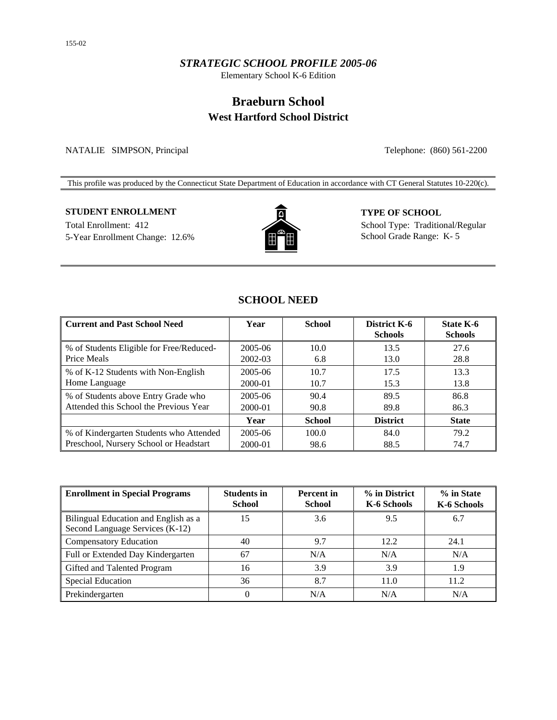### *STRATEGIC SCHOOL PROFILE 2005-06*

Elementary School K-6 Edition

# **Braeburn School West Hartford School District**

NATALIE SIMPSON, Principal Telephone: (860) 561-2200

This profile was produced by the Connecticut State Department of Education in accordance with CT General Statutes 10-220(c).

## **STUDENT ENROLLMENT TYPE OF SCHOOL**

5-Year Enrollment Change: 12.6% School Grade Range: K- 5



Total Enrollment: 412 School Type: Traditional/Regular

# **SCHOOL NEED**

| <b>Current and Past School Need</b>      | Year    | <b>School</b> | District K-6<br><b>Schools</b> | <b>State K-6</b><br><b>Schools</b> |
|------------------------------------------|---------|---------------|--------------------------------|------------------------------------|
| % of Students Eligible for Free/Reduced- | 2005-06 | 10.0          | 13.5                           | 27.6                               |
| Price Meals                              | 2002-03 | 6.8           | 13.0                           | 28.8                               |
| % of K-12 Students with Non-English      | 2005-06 | 10.7          | 17.5                           | 13.3                               |
| Home Language                            | 2000-01 | 10.7          | 15.3                           | 13.8                               |
| % of Students above Entry Grade who      | 2005-06 | 90.4          | 89.5                           | 86.8                               |
| Attended this School the Previous Year   | 2000-01 | 90.8          | 89.8                           | 86.3                               |
|                                          | Year    | <b>School</b> | <b>District</b>                | <b>State</b>                       |
| % of Kindergarten Students who Attended  | 2005-06 | 100.0         | 84.0                           | 79.2                               |
| Preschool, Nursery School or Headstart   | 2000-01 | 98.6          | 88.5                           | 74.7                               |

| <b>Enrollment in Special Programs</b>                                   | <b>Students in</b><br><b>School</b> | <b>Percent</b> in<br><b>School</b> | % in District<br>K-6 Schools | % in State<br>K-6 Schools |
|-------------------------------------------------------------------------|-------------------------------------|------------------------------------|------------------------------|---------------------------|
| Bilingual Education and English as a<br>Second Language Services (K-12) | 15                                  | 3.6                                | 9.5                          | 6.7                       |
| <b>Compensatory Education</b>                                           | 40                                  | 9.7                                | 12.2                         | 24.1                      |
| Full or Extended Day Kindergarten                                       | 67                                  | N/A                                | N/A                          | N/A                       |
| Gifted and Talented Program                                             | 16                                  | 3.9                                | 3.9                          | 1.9                       |
| <b>Special Education</b>                                                | 36                                  | 8.7                                | 11.0                         | 11.2                      |
| Prekindergarten                                                         | 0                                   | N/A                                | N/A                          | N/A                       |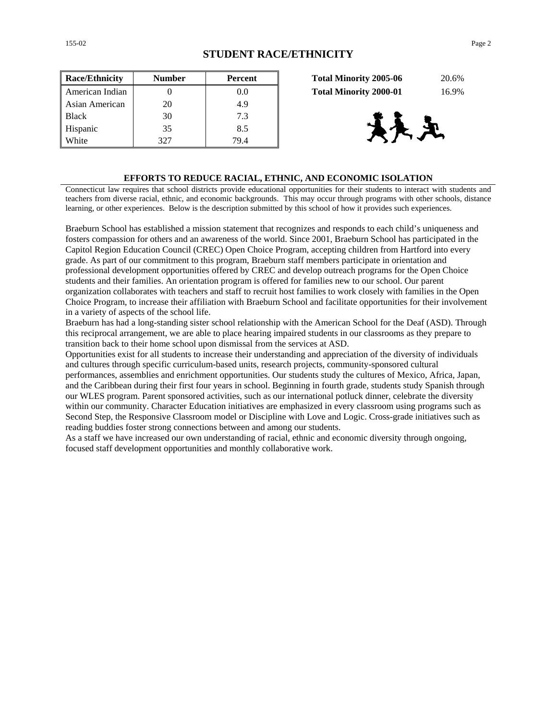| <b>Race/Ethnicity</b> | <b>Number</b> | Percent | 20.6%<br><b>Total Minority 2005-06</b> |
|-----------------------|---------------|---------|----------------------------------------|
| American Indian       |               | $0.0\,$ | 16.9%<br><b>Total Minority 2000-01</b> |
| Asian American        | 20            | 4.9     |                                        |
| <b>Black</b>          | 30            | 7.3     |                                        |
| Hispanic              | 35            | 8.5     |                                        |
| White                 | 327           | 79.4    |                                        |

| <b>Total Minority 2005-06</b> | 20.6% |
|-------------------------------|-------|
| <b>Total Minority 2000-01</b> | 16.9% |



#### **EFFORTS TO REDUCE RACIAL, ETHNIC, AND ECONOMIC ISOLATION**

Connecticut law requires that school districts provide educational opportunities for their students to interact with students and teachers from diverse racial, ethnic, and economic backgrounds. This may occur through programs with other schools, distance learning, or other experiences. Below is the description submitted by this school of how it provides such experiences.

Braeburn School has established a mission statement that recognizes and responds to each child's uniqueness and fosters compassion for others and an awareness of the world. Since 2001, Braeburn School has participated in the Capitol Region Education Council (CREC) Open Choice Program, accepting children from Hartford into every grade. As part of our commitment to this program, Braeburn staff members participate in orientation and professional development opportunities offered by CREC and develop outreach programs for the Open Choice students and their families. An orientation program is offered for families new to our school. Our parent organization collaborates with teachers and staff to recruit host families to work closely with families in the Open Choice Program, to increase their affiliation with Braeburn School and facilitate opportunities for their involvement in a variety of aspects of the school life.

Braeburn has had a long-standing sister school relationship with the American School for the Deaf (ASD). Through this reciprocal arrangement, we are able to place hearing impaired students in our classrooms as they prepare to transition back to their home school upon dismissal from the services at ASD.

Opportunities exist for all students to increase their understanding and appreciation of the diversity of individuals and cultures through specific curriculum-based units, research projects, community-sponsored cultural

performances, assemblies and enrichment opportunities. Our students study the cultures of Mexico, Africa, Japan, and the Caribbean during their first four years in school. Beginning in fourth grade, students study Spanish through our WLES program. Parent sponsored activities, such as our international potluck dinner, celebrate the diversity within our community. Character Education initiatives are emphasized in every classroom using programs such as Second Step, the Responsive Classroom model or Discipline with Love and Logic. Cross-grade initiatives such as reading buddies foster strong connections between and among our students.

As a staff we have increased our own understanding of racial, ethnic and economic diversity through ongoing, focused staff development opportunities and monthly collaborative work.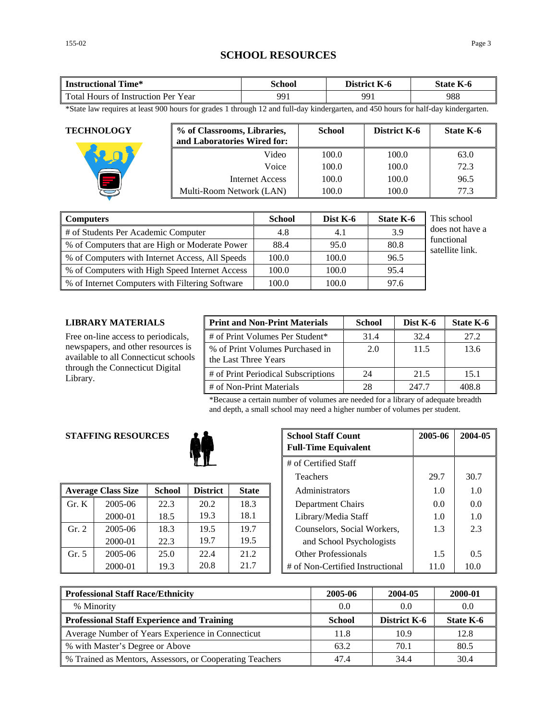# **SCHOOL RESOURCES**

| Time*                               | `chool | District | $-$       |
|-------------------------------------|--------|----------|-----------|
| <b>Instructional</b>                |        | - K-0    | State K-6 |
| Total Hours of Instruction Per Year | 991    | 991      | 988       |

\*State law requires at least 900 hours for grades 1 through 12 and full-day kindergarten, and 450 hours for half-day kindergarten.

| <b>TECHNOLOGY</b> | % of Classrooms, Libraries,<br>and Laboratories Wired for: | <b>School</b> | District K-6 | State K-6 |
|-------------------|------------------------------------------------------------|---------------|--------------|-----------|
|                   | Video                                                      | 100.0         | 100.0        | 63.0      |
|                   | Voice                                                      | 100.0         | 100.0        | 72.3      |
|                   | Internet Access                                            | 100.0         | 100.0        | 96.5      |
|                   | Multi-Room Network (LAN)                                   | 100.0         | 100.0        | 77.3      |

| <b>Computers</b>                                | <b>School</b> | Dist K-6 | <b>State K-6</b> | This school                   |
|-------------------------------------------------|---------------|----------|------------------|-------------------------------|
| # of Students Per Academic Computer             | 4.8           | 4.1      | 3.9              | does not have a               |
| % of Computers that are High or Moderate Power  | 88.4          | 95.0     | 80.8             | functional<br>satellite link. |
| % of Computers with Internet Access, All Speeds | 100.0         | 100.0    | 96.5             |                               |
| % of Computers with High Speed Internet Access  | 100.0         | 100.0    | 95.4             |                               |
| % of Internet Computers with Filtering Software | 100.0         | 100.0    | 97.6             |                               |

#### **LIBRARY MATERIALS**

Free on-line access to periodicals, newspapers, and other resources is available to all Connecticut schools through the Connecticut Digital Library.

| <b>Print and Non-Print Materials</b>                    | <b>School</b> | Dist K-6 | State K-6 |
|---------------------------------------------------------|---------------|----------|-----------|
| # of Print Volumes Per Student*                         | 31.4          | 32.4     | 27.2      |
| % of Print Volumes Purchased in<br>the Last Three Years | 2.0           | 11.5     | 13.6      |
| # of Print Periodical Subscriptions                     | 24            | 21.5     | 15.1      |
| # of Non-Print Materials                                | 28            | 247.7    | 408.8     |

\*Because a certain number of volumes are needed for a library of adequate breadth and depth, a small school may need a higher number of volumes per student.

# **STAFFING RESOURCES**



|                | <b>Average Class Size</b> | <b>School</b> | <b>District</b> | <b>State</b> | Administrators                   | 1.0  | 1.0               |
|----------------|---------------------------|---------------|-----------------|--------------|----------------------------------|------|-------------------|
| $\Gamma$ Gr. K | 2005-06                   | 22.3          | 20.2            | 18.3         | Department Chairs                | 0.0  | 0.0               |
|                | 2000-01                   | 18.5          | 19.3            | 18.1         | Library/Media Staff              | 1.0  | 1.0               |
| Gr. 2          | 2005-06                   | 18.3          | 19.5            | 19.7         | Counselors, Social Workers,      | 1.3  | 2.3               |
|                | 2000-01                   | 22.3          | 19.7            | 19.5         | and School Psychologists         |      |                   |
| Gr. 5          | 2005-06                   | 25.0          | 22.4            | 21.2         | <b>Other Professionals</b>       | 1.5  | $0.5^{\circ}$     |
|                | 2000-01                   | 19.3          | 20.8            | 21.7         | # of Non-Certified Instructional | 11.0 | 10.0 <sup>1</sup> |

| <b>G RESOURCES</b>   |               | <b>School Staff Count</b><br><b>Full-Time Equivalent</b> | 2005-06      | 2004-05 |                                  |      |      |
|----------------------|---------------|----------------------------------------------------------|--------------|---------|----------------------------------|------|------|
| # of Certified Staff |               |                                                          |              |         |                                  |      |      |
|                      |               |                                                          |              |         | <b>Teachers</b>                  | 29.7 | 30.7 |
| 'lass Size           | <b>School</b> | <b>District</b>                                          | <b>State</b> |         | Administrators                   | 1.0  | 1.0  |
| 2005-06              | 22.3          | 20.2                                                     | 18.3         |         | Department Chairs                | 0.0  | 0.0  |
| 2000-01              | 18.5          | 19.3                                                     | 18.1         |         | Library/Media Staff              | 1.0  | 1.0  |
| 2005-06              | 18.3          | 19.5                                                     | 19.7         |         | Counselors, Social Workers,      | 1.3  | 2.3  |
| 2000-01              | 22.3          | 19.7                                                     | 19.5         |         | and School Psychologists         |      |      |
| 2005-06              | 25.0          | 22.4                                                     | 21.2         |         | <b>Other Professionals</b>       | 1.5  | 0.5  |
| 2000-01              | 19.3          | 20.8                                                     | 21.7         |         | # of Non-Certified Instructional | 11.0 | 10.0 |

| <b>Professional Staff Race/Ethnicity</b>                 | 2005-06       | 2004-05             | 2000-01   |
|----------------------------------------------------------|---------------|---------------------|-----------|
| % Minority                                               | 0.0           | 0.0                 | 0.0       |
| <b>Professional Staff Experience and Training</b>        | <b>School</b> | <b>District K-6</b> | State K-6 |
| Average Number of Years Experience in Connecticut        | 11.8          | 10.9                | 12.8      |
| % with Master's Degree or Above                          | 63.2          | 70.1                | 80.5      |
| % Trained as Mentors, Assessors, or Cooperating Teachers | 47.4          | 34.4                | 30.4      |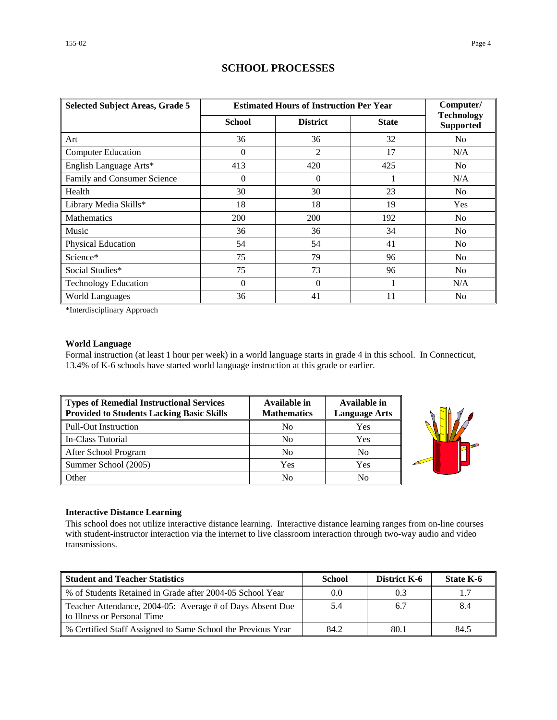| <b>Selected Subject Areas, Grade 5</b> |                | <b>Estimated Hours of Instruction Per Year</b> |              |                                       |  |  |  |  |
|----------------------------------------|----------------|------------------------------------------------|--------------|---------------------------------------|--|--|--|--|
|                                        | <b>School</b>  | <b>District</b>                                | <b>State</b> | <b>Technology</b><br><b>Supported</b> |  |  |  |  |
| Art                                    | 36             | 36                                             | 32           | N <sub>o</sub>                        |  |  |  |  |
| <b>Computer Education</b>              | 0              | 2                                              | 17           | N/A                                   |  |  |  |  |
| English Language Arts*                 | 413            | 420                                            | 425          | No.                                   |  |  |  |  |
| Family and Consumer Science            | $\overline{0}$ | $\theta$                                       |              | N/A                                   |  |  |  |  |
| Health                                 | 30             | 30                                             | 23           | N <sub>o</sub>                        |  |  |  |  |
| Library Media Skills*                  | 18             | 18                                             | 19           | <b>Yes</b>                            |  |  |  |  |
| <b>Mathematics</b>                     | 200            | 200                                            | 192          | N <sub>0</sub>                        |  |  |  |  |
| Music                                  | 36             | 36                                             | 34           | N <sub>0</sub>                        |  |  |  |  |
| <b>Physical Education</b>              | 54             | 54                                             | 41           | N <sub>o</sub>                        |  |  |  |  |
| Science*                               | 75             | 79                                             | 96           | N <sub>o</sub>                        |  |  |  |  |
| Social Studies*                        | 75             | 73                                             | 96           | N <sub>0</sub>                        |  |  |  |  |
| <b>Technology Education</b>            | $\theta$       | $\Omega$                                       | 1            | N/A                                   |  |  |  |  |
| <b>World Languages</b>                 | 36             | 41                                             | 11           | N <sub>0</sub>                        |  |  |  |  |

# **SCHOOL PROCESSES**

\*Interdisciplinary Approach

### **World Language**

Formal instruction (at least 1 hour per week) in a world language starts in grade 4 in this school. In Connecticut, 13.4% of K-6 schools have started world language instruction at this grade or earlier.

| Types of Remedial Instructional Services<br><b>Provided to Students Lacking Basic Skills</b> | Available in<br><b>Mathematics</b> | Available in<br><b>Language Arts</b> |
|----------------------------------------------------------------------------------------------|------------------------------------|--------------------------------------|
| Pull-Out Instruction                                                                         | No                                 | Yes                                  |
| In-Class Tutorial                                                                            | N <sub>0</sub>                     | Yes                                  |
| After School Program                                                                         | N <sub>0</sub>                     | No                                   |
| Summer School (2005)                                                                         | Yes                                | Yes                                  |
| Other                                                                                        | No                                 | No                                   |



### **Interactive Distance Learning**

This school does not utilize interactive distance learning. Interactive distance learning ranges from on-line courses with student-instructor interaction via the internet to live classroom interaction through two-way audio and video transmissions.

| <b>Student and Teacher Statistics</b>                                                    | <b>School</b> | District K-6 | State K-6 |
|------------------------------------------------------------------------------------------|---------------|--------------|-----------|
| % of Students Retained in Grade after 2004-05 School Year                                | 0.0           | 0.3          | 1.7       |
| Teacher Attendance, 2004-05: Average # of Days Absent Due<br>to Illness or Personal Time | 5.4           | 6.7          | 8.4       |
| % Certified Staff Assigned to Same School the Previous Year                              | 84.2          | 80.1         | 84.5      |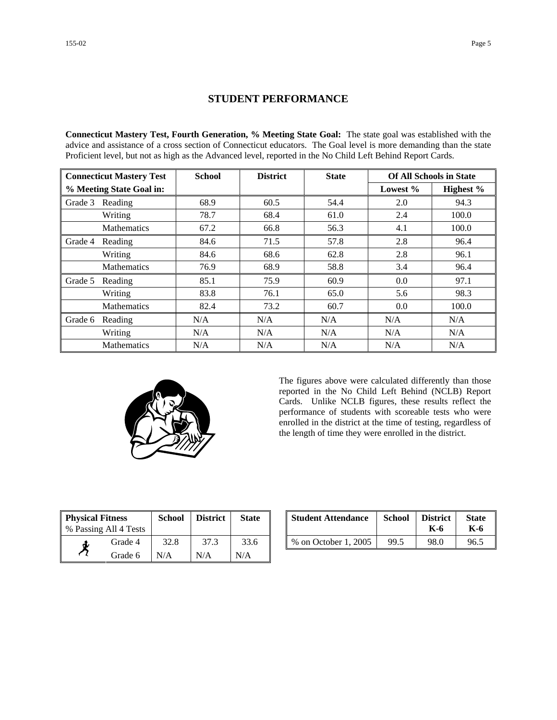## **STUDENT PERFORMANCE**

**Connecticut Mastery Test, Fourth Generation, % Meeting State Goal:** The state goal was established with the advice and assistance of a cross section of Connecticut educators. The Goal level is more demanding than the state Proficient level, but not as high as the Advanced level, reported in the No Child Left Behind Report Cards.

| <b>Connecticut Mastery Test</b> |                    | <b>School</b> | <b>District</b> | <b>State</b> | <b>Of All Schools in State</b> |           |  |
|---------------------------------|--------------------|---------------|-----------------|--------------|--------------------------------|-----------|--|
| % Meeting State Goal in:        |                    |               |                 |              | Lowest $%$                     | Highest % |  |
| Grade 3                         | Reading            | 68.9          | 60.5            | 54.4         | 2.0                            | 94.3      |  |
|                                 | Writing            | 78.7          | 68.4            | 61.0         | 2.4                            | 100.0     |  |
|                                 | <b>Mathematics</b> | 67.2          | 66.8            | 56.3         | 4.1                            | 100.0     |  |
| Grade 4                         | Reading            | 84.6          | 71.5            | 57.8         | 2.8                            | 96.4      |  |
|                                 | Writing            | 84.6          | 68.6            | 62.8         | 2.8                            | 96.1      |  |
|                                 | Mathematics        | 76.9          | 68.9            | 58.8         | 3.4                            | 96.4      |  |
| Grade 5                         | Reading            | 85.1          | 75.9            | 60.9         | 0.0                            | 97.1      |  |
|                                 | Writing            | 83.8          | 76.1            | 65.0         | 5.6                            | 98.3      |  |
|                                 | <b>Mathematics</b> | 82.4          | 73.2            | 60.7         | 0.0                            | 100.0     |  |
| Grade 6                         | Reading            | N/A           | N/A             | N/A          | N/A                            | N/A       |  |
|                                 | Writing            | N/A           | N/A             | N/A          | N/A                            | N/A       |  |
|                                 | <b>Mathematics</b> | N/A           | N/A             | N/A          | N/A                            | N/A       |  |



The figures above were calculated differently than those reported in the No Child Left Behind (NCLB) Report Cards. Unlike NCLB figures, these results reflect the performance of students with scoreable tests who were enrolled in the district at the time of testing, regardless of the length of time they were enrolled in the district.

| <b>Physical Fitness</b> |                       | <b>School</b> | <b>District</b> | <b>State</b> |
|-------------------------|-----------------------|---------------|-----------------|--------------|
|                         | % Passing All 4 Tests |               |                 |              |
|                         | Grade 4               | 32.8          | 37.3            | 33.6         |
|                         | Grade 6               | N/A           | N/A             | N/A          |

| ness<br>11 4 Tests | <b>School</b> | <b>District</b> | <b>State</b> | <b>Student Attendance</b> | <b>School</b> | <b>District</b><br>K-6 | <b>State</b><br>K-6 |
|--------------------|---------------|-----------------|--------------|---------------------------|---------------|------------------------|---------------------|
| Grade 4            | 32.8          | 37.3            | 33.6         | % on October 1, 2005      | 99.5          | 98.0                   | 96.5                |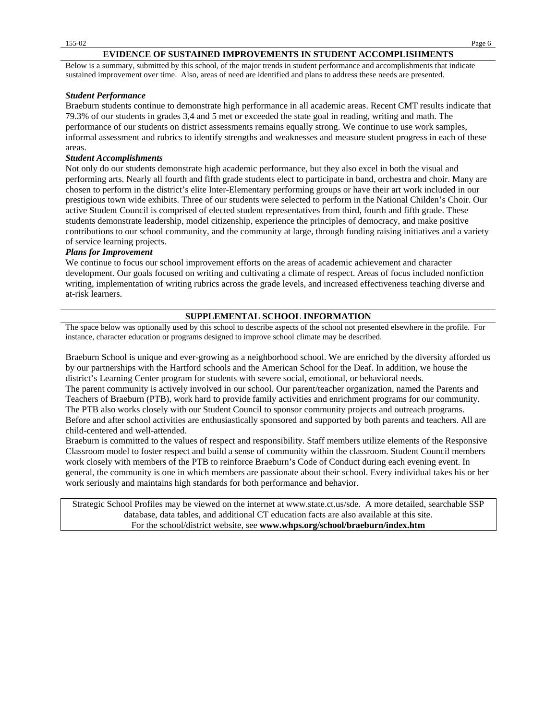#### **EVIDENCE OF SUSTAINED IMPROVEMENTS IN STUDENT ACCOMPLISHMENTS**

Below is a summary, submitted by this school, of the major trends in student performance and accomplishments that indicate sustained improvement over time. Also, areas of need are identified and plans to address these needs are presented.

#### *Student Performance*

Braeburn students continue to demonstrate high performance in all academic areas. Recent CMT results indicate that 79.3% of our students in grades 3,4 and 5 met or exceeded the state goal in reading, writing and math. The performance of our students on district assessments remains equally strong. We continue to use work samples, informal assessment and rubrics to identify strengths and weaknesses and measure student progress in each of these areas.

#### *Student Accomplishments*

Not only do our students demonstrate high academic performance, but they also excel in both the visual and performing arts. Nearly all fourth and fifth grade students elect to participate in band, orchestra and choir. Many are chosen to perform in the district's elite Inter-Elementary performing groups or have their art work included in our prestigious town wide exhibits. Three of our students were selected to perform in the National Childen's Choir. Our active Student Council is comprised of elected student representatives from third, fourth and fifth grade. These students demonstrate leadership, model citizenship, experience the principles of democracy, and make positive contributions to our school community, and the community at large, through funding raising initiatives and a variety of service learning projects.

#### *Plans for Improvement*

We continue to focus our school improvement efforts on the areas of academic achievement and character development. Our goals focused on writing and cultivating a climate of respect. Areas of focus included nonfiction writing, implementation of writing rubrics across the grade levels, and increased effectiveness teaching diverse and at-risk learners.

### **SUPPLEMENTAL SCHOOL INFORMATION**

The space below was optionally used by this school to describe aspects of the school not presented elsewhere in the profile. For instance, character education or programs designed to improve school climate may be described.

Braeburn School is unique and ever-growing as a neighborhood school. We are enriched by the diversity afforded us by our partnerships with the Hartford schools and the American School for the Deaf. In addition, we house the district's Learning Center program for students with severe social, emotional, or behavioral needs.

The parent community is actively involved in our school. Our parent/teacher organization, named the Parents and Teachers of Braeburn (PTB), work hard to provide family activities and enrichment programs for our community. The PTB also works closely with our Student Council to sponsor community projects and outreach programs. Before and after school activities are enthusiastically sponsored and supported by both parents and teachers. All are child-centered and well-attended.

Braeburn is committed to the values of respect and responsibility. Staff members utilize elements of the Responsive Classroom model to foster respect and build a sense of community within the classroom. Student Council members work closely with members of the PTB to reinforce Braeburn's Code of Conduct during each evening event. In general, the community is one in which members are passionate about their school. Every individual takes his or her work seriously and maintains high standards for both performance and behavior.

Strategic School Profiles may be viewed on the internet at www.state.ct.us/sde. A more detailed, searchable SSP database, data tables, and additional CT education facts are also available at this site. For the school/district website, see **www.whps.org/school/braeburn/index.htm**